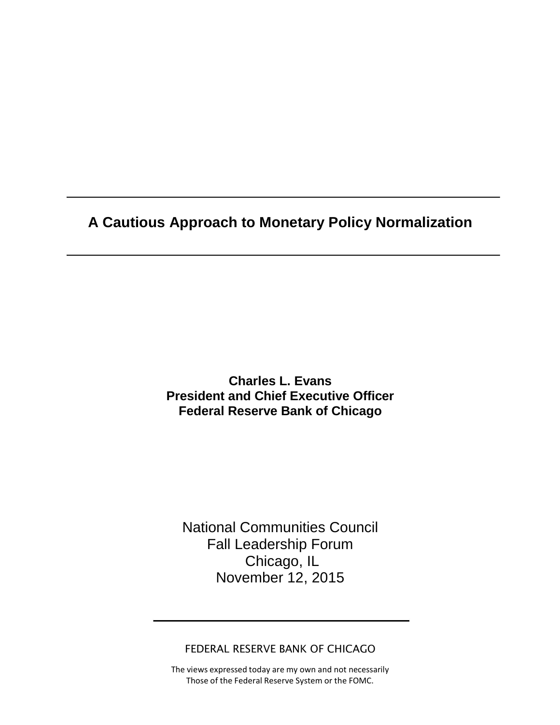**A Cautious Approach to Monetary Policy Normalization**

**Charles L. Evans President and Chief Executive Officer Federal Reserve Bank of Chicago**

National Communities Council Fall Leadership Forum Chicago, IL November 12, 2015

FEDERAL RESERVE BANK OF CHICAGO

The views expressed today are my own and not necessarily Those of the Federal Reserve System or the FOMC.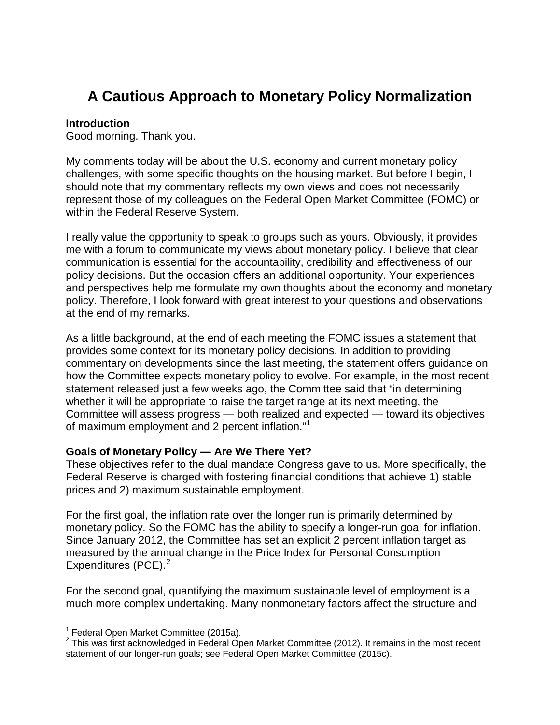## **A Cautious Approach to Monetary Policy Normalization**

#### **Introduction**

Good morning. Thank you.

My comments today will be about the U.S. economy and current monetary policy challenges, with some specific thoughts on the housing market. But before I begin, I should note that my commentary reflects my own views and does not necessarily represent those of my colleagues on the Federal Open Market Committee (FOMC) or within the Federal Reserve System.

I really value the opportunity to speak to groups such as yours. Obviously, it provides me with a forum to communicate my views about monetary policy. I believe that clear communication is essential for the accountability, credibility and effectiveness of our policy decisions. But the occasion offers an additional opportunity. Your experiences and perspectives help me formulate my own thoughts about the economy and monetary policy. Therefore, I look forward with great interest to your questions and observations at the end of my remarks.

As a little background, at the end of each meeting the FOMC issues a statement that provides some context for its monetary policy decisions. In addition to providing commentary on developments since the last meeting, the statement offers guidance on how the Committee expects monetary policy to evolve. For example, in the most recent statement released just a few weeks ago, the Committee said that "in determining whether it will be appropriate to raise the target range at its next meeting, the Committee will assess progress — both realized and expected — toward its objectives of maximum employment and 2 percent inflation."[1](#page-1-0)

#### **Goals of Monetary Policy — Are We There Yet?**

These objectives refer to the dual mandate Congress gave to us. More specifically, the Federal Reserve is charged with fostering financial conditions that achieve 1) stable prices and 2) maximum sustainable employment.

For the first goal, the inflation rate over the longer run is primarily determined by monetary policy. So the FOMC has the ability to specify a longer-run goal for inflation. Since January 2012, the Committee has set an explicit 2 percent inflation target as measured by the annual change in the Price Index for Personal Consumption Expenditures (PCE). $2$ 

For the second goal, quantifying the maximum sustainable level of employment is a much more complex undertaking. Many nonmonetary factors affect the structure and

 $<sup>1</sup>$  Federal Open Market Committee (2015a).</sup>

<span id="page-1-1"></span><span id="page-1-0"></span> $2$  This was first acknowledged in Federal Open Market Committee (2012). It remains in the most recent statement of our longer-run goals; see Federal Open Market Committee (2015c).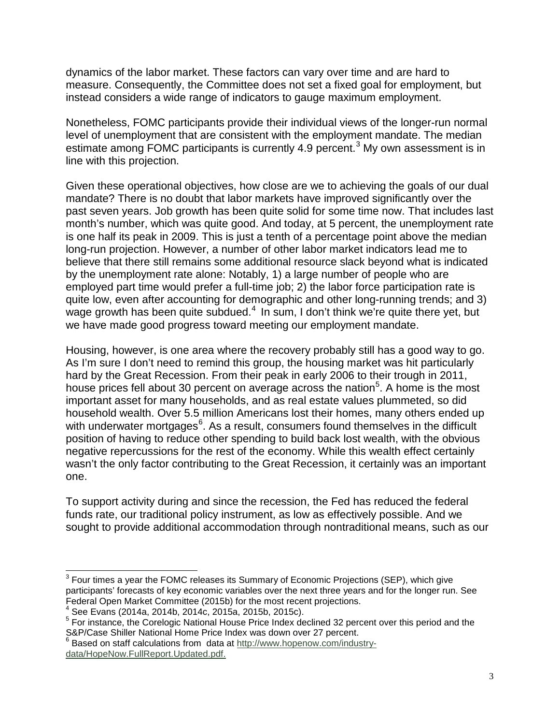dynamics of the labor market. These factors can vary over time and are hard to measure. Consequently, the Committee does not set a fixed goal for employment, but instead considers a wide range of indicators to gauge maximum employment.

Nonetheless, FOMC participants provide their individual views of the longer-run normal level of unemployment that are consistent with the employment mandate. The median estimate among FOMC participants is currently 4.9 percent.<sup>[3](#page-2-0)</sup> My own assessment is in line with this projection.

Given these operational objectives, how close are we to achieving the goals of our dual mandate? There is no doubt that labor markets have improved significantly over the past seven years. Job growth has been quite solid for some time now. That includes last month's number, which was quite good. And today, at 5 percent, the unemployment rate is one half its peak in 2009. This is just a tenth of a percentage point above the median long-run projection. However, a number of other labor market indicators lead me to believe that there still remains some additional resource slack beyond what is indicated by the unemployment rate alone: Notably, 1) a large number of people who are employed part time would prefer a full-time job; 2) the labor force participation rate is quite low, even after accounting for demographic and other long-running trends; and 3) wage growth has been quite subdued.<sup>[4](#page-2-1)</sup> In sum, I don't think we're quite there yet, but we have made good progress toward meeting our employment mandate.

Housing, however, is one area where the recovery probably still has a good way to go. As I'm sure I don't need to remind this group, the housing market was hit particularly hard by the Great Recession. From their peak in early 2006 to their trough in 2011, house prices fell about 30 percent on average across the nation<sup>[5](#page-2-2)</sup>. A home is the most important asset for many households, and as real estate values plummeted, so did household wealth. Over 5.5 million Americans lost their homes, many others ended up with underwater mortgages $^6$  $^6$ . As a result, consumers found themselves in the difficult position of having to reduce other spending to build back lost wealth, with the obvious negative repercussions for the rest of the economy. While this wealth effect certainly wasn't the only factor contributing to the Great Recession, it certainly was an important one.

To support activity during and since the recession, the Fed has reduced the federal funds rate, our traditional policy instrument, as low as effectively possible. And we sought to provide additional accommodation through nontraditional means, such as our

<span id="page-2-0"></span> $3$  Four times a year the FOMC releases its Summary of Economic Projections (SEP), which give participants' forecasts of key economic variables over the next three years and for the longer run. See<br>Federal Open Market Committee (2015b) for the most recent projections.

<span id="page-2-2"></span><span id="page-2-1"></span> $^4$  See Evans (2014a, 2014b, 2014c, 2015a, 2015b, 2015c).<br><sup>5</sup> For instance, the Corelogic National House Price Index declined 32 percent over this period and the S&P/Case Shiller National Home Price Index was down over 27 percent.<br>
<sup>6</sup> Based on staff calculations from data at [http://www.hopenow.com/industry-](http://www.hopenow.com/industry-data/HopeNow.FullReport.Updated.pdf)

<span id="page-2-3"></span>[data/HopeNow.FullReport.Updated.pdf.](http://www.hopenow.com/industry-data/HopeNow.FullReport.Updated.pdf)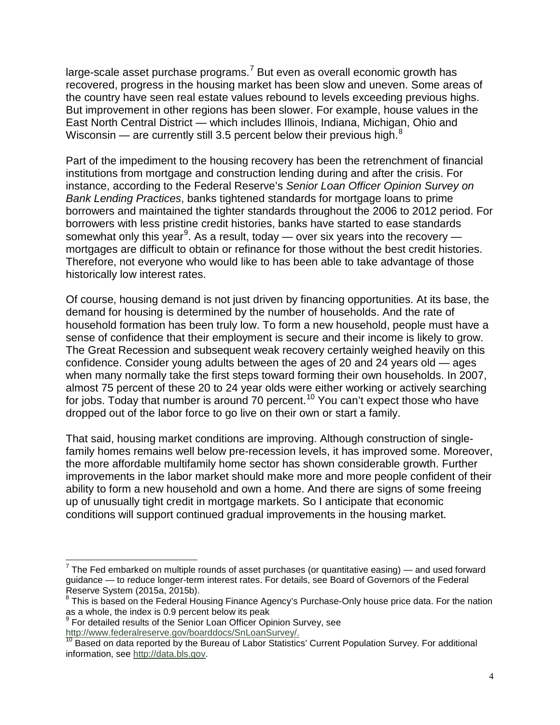large-scale asset purchase programs.<sup>[7](#page-3-0)</sup> But even as overall economic growth has recovered, progress in the housing market has been slow and uneven. Some areas of the country have seen real estate values rebound to levels exceeding previous highs. But improvement in other regions has been slower. For example, house values in the East North Central District — which includes Illinois, Indiana, Michigan, Ohio and Wisconsin — are currently still 3.5 percent below their previous high. $8$ 

Part of the impediment to the housing recovery has been the retrenchment of financial institutions from mortgage and construction lending during and after the crisis. For instance, according to the Federal Reserve's *Senior Loan Officer Opinion Survey on Bank Lending Practices*, banks tightened standards for mortgage loans to prime borrowers and maintained the tighter standards throughout the 2006 to 2012 period. For borrowers with less pristine credit histories, banks have started to ease standards somewhat only this year $^9$  $^9$ . As a result, today — over six years into the recovery mortgages are difficult to obtain or refinance for those without the best credit histories. Therefore, not everyone who would like to has been able to take advantage of those historically low interest rates.

Of course, housing demand is not just driven by financing opportunities. At its base, the demand for housing is determined by the number of households. And the rate of household formation has been truly low. To form a new household, people must have a sense of confidence that their employment is secure and their income is likely to grow. The Great Recession and subsequent weak recovery certainly weighed heavily on this confidence. Consider young adults between the ages of 20 and 24 years old — ages when many normally take the first steps toward forming their own households. In 2007, almost 75 percent of these 20 to 24 year olds were either working or actively searching for jobs. Today that number is around 70 percent.<sup>[10](#page-3-3)</sup> You can't expect those who have dropped out of the labor force to go live on their own or start a family.

That said, housing market conditions are improving. Although construction of singlefamily homes remains well below pre-recession levels, it has improved some. Moreover, the more affordable multifamily home sector has shown considerable growth. Further improvements in the labor market should make more and more people confident of their ability to form a new household and own a home. And there are signs of some freeing up of unusually tight credit in mortgage markets. So I anticipate that economic conditions will support continued gradual improvements in the housing market.

<span id="page-3-0"></span> $7$  The Fed embarked on multiple rounds of asset purchases (or quantitative easing) — and used forward guidance — to reduce longer-term interest rates. For details, see Board of Governors of the Federal Reserve System (2015a, 2015b).

<span id="page-3-1"></span> $8$  This is based on the Federal Housing Finance Agency's Purchase-Only house price data. For the nation as a whole, the index is 0.9 percent below its peak

<sup>&</sup>lt;sup>9</sup> For detailed results of the Senior Loan Officer Opinion Survey, see

<span id="page-3-3"></span><span id="page-3-2"></span>[http://www.federalreserve.gov/boarddocs/SnLoanSurvey/.](http://www.federalreserve.gov/boarddocs/SnLoanSurvey/)<br><sup>10</sup> Based on data reported by the Bureau of Labor Statistics' Current Population Survey. For additional information, see [http://data.bls.gov.](http://data.bls.gov/)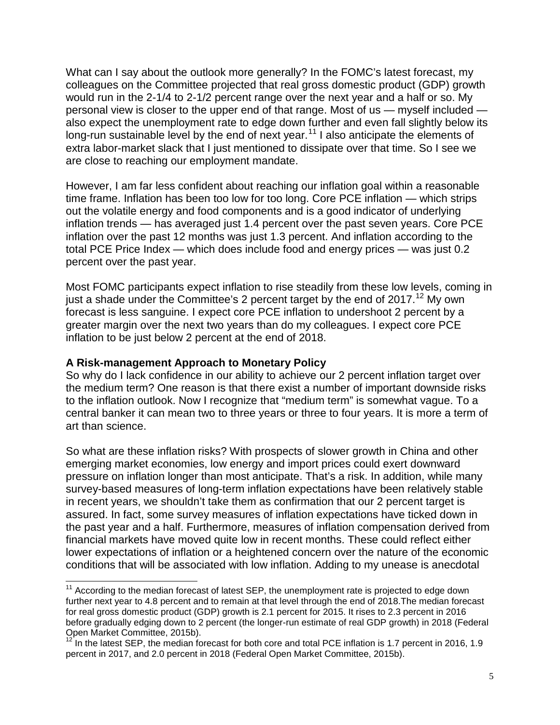What can I say about the outlook more generally? In the FOMC's latest forecast, my colleagues on the Committee projected that real gross domestic product (GDP) growth would run in the 2-1/4 to 2-1/2 percent range over the next year and a half or so. My personal view is closer to the upper end of that range. Most of us — myself included also expect the unemployment rate to edge down further and even fall slightly below its long-run sustainable level by the end of next year.<sup>[11](#page-4-0)</sup> I also anticipate the elements of extra labor-market slack that I just mentioned to dissipate over that time. So I see we are close to reaching our employment mandate.

However, I am far less confident about reaching our inflation goal within a reasonable time frame. Inflation has been too low for too long. Core PCE inflation — which strips out the volatile energy and food components and is a good indicator of underlying inflation trends — has averaged just 1.4 percent over the past seven years. Core PCE inflation over the past 12 months was just 1.3 percent. And inflation according to the total PCE Price Index — which does include food and energy prices — was just 0.2 percent over the past year.

Most FOMC participants expect inflation to rise steadily from these low levels, coming in just a shade under the Committee's 2 percent target by the end of  $2017$ .<sup>[12](#page-4-1)</sup> My own forecast is less sanguine. I expect core PCE inflation to undershoot 2 percent by a greater margin over the next two years than do my colleagues. I expect core PCE inflation to be just below 2 percent at the end of 2018.

#### **A Risk-management Approach to Monetary Policy**

So why do I lack confidence in our ability to achieve our 2 percent inflation target over the medium term? One reason is that there exist a number of important downside risks to the inflation outlook. Now I recognize that "medium term" is somewhat vague. To a central banker it can mean two to three years or three to four years. It is more a term of art than science.

So what are these inflation risks? With prospects of slower growth in China and other emerging market economies, low energy and import prices could exert downward pressure on inflation longer than most anticipate. That's a risk. In addition, while many survey-based measures of long-term inflation expectations have been relatively stable in recent years, we shouldn't take them as confirmation that our 2 percent target is assured. In fact, some survey measures of inflation expectations have ticked down in the past year and a half. Furthermore, measures of inflation compensation derived from financial markets have moved quite low in recent months. These could reflect either lower expectations of inflation or a heightened concern over the nature of the economic conditions that will be associated with low inflation. Adding to my unease is anecdotal

<span id="page-4-0"></span><sup>&</sup>lt;sup>11</sup> According to the median forecast of latest SEP, the unemployment rate is projected to edge down further next year to 4.8 percent and to remain at that level through the end of 2018.The median forecast for real gross domestic product (GDP) growth is 2.1 percent for 2015. It rises to 2.3 percent in 2016 before gradually edging down to 2 percent (the longer-run estimate of real GDP growth) in 2018 (Federal Open Market Committee, 2015b).

<span id="page-4-1"></span> $12$  In the latest SEP, the median forecast for both core and total PCE inflation is 1.7 percent in 2016, 1.9 percent in 2017, and 2.0 percent in 2018 (Federal Open Market Committee, 2015b).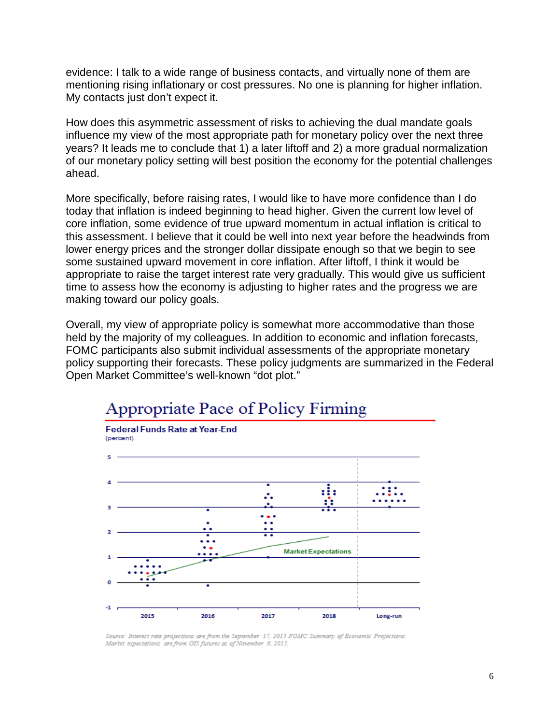evidence: I talk to a wide range of business contacts, and virtually none of them are mentioning rising inflationary or cost pressures. No one is planning for higher inflation. My contacts just don't expect it.

How does this asymmetric assessment of risks to achieving the dual mandate goals influence my view of the most appropriate path for monetary policy over the next three years? It leads me to conclude that 1) a later liftoff and 2) a more gradual normalization of our monetary policy setting will best position the economy for the potential challenges ahead.

More specifically, before raising rates, I would like to have more confidence than I do today that inflation is indeed beginning to head higher. Given the current low level of core inflation, some evidence of true upward momentum in actual inflation is critical to this assessment. I believe that it could be well into next year before the headwinds from lower energy prices and the stronger dollar dissipate enough so that we begin to see some sustained upward movement in core inflation. After liftoff, I think it would be appropriate to raise the target interest rate very gradually. This would give us sufficient time to assess how the economy is adjusting to higher rates and the progress we are making toward our policy goals.

Overall, my view of appropriate policy is somewhat more accommodative than those held by the majority of my colleagues. In addition to economic and inflation forecasts, FOMC participants also submit individual assessments of the appropriate monetary policy supporting their forecasts. These policy judgments are summarized in the Federal Open Market Committee's well-known "dot plot."



# Appropriate Pace of Policy Firming

Source: Interest rate projections are from the September 17, 2015 FOMC Summary of Economic Projections. Market expectations are from OIS futures as of November 6, 2015.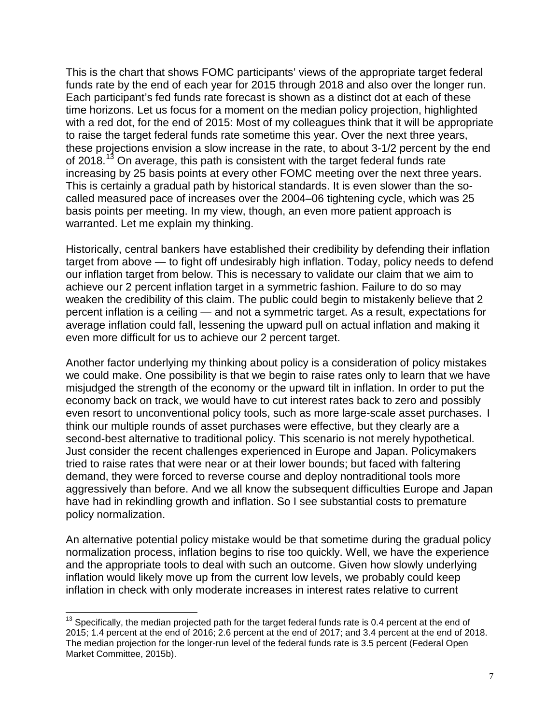This is the chart that shows FOMC participants' views of the appropriate target federal funds rate by the end of each year for 2015 through 2018 and also over the longer run. Each participant's fed funds rate forecast is shown as a distinct dot at each of these time horizons. Let us focus for a moment on the median policy projection, highlighted with a red dot, for the end of 2015: Most of my colleagues think that it will be appropriate to raise the target federal funds rate sometime this year. Over the next three years, these projections envision a slow increase in the rate, to about 3-1/2 percent by the end of 2018.<sup>[13](#page-6-0)</sup> On average, this path is consistent with the target federal funds rate increasing by 25 basis points at every other FOMC meeting over the next three years. This is certainly a gradual path by historical standards. It is even slower than the socalled measured pace of increases over the 2004–06 tightening cycle, which was 25 basis points per meeting. In my view, though, an even more patient approach is warranted. Let me explain my thinking.

Historically, central bankers have established their credibility by defending their inflation target from above — to fight off undesirably high inflation. Today, policy needs to defend our inflation target from below. This is necessary to validate our claim that we aim to achieve our 2 percent inflation target in a symmetric fashion. Failure to do so may weaken the credibility of this claim. The public could begin to mistakenly believe that 2 percent inflation is a ceiling — and not a symmetric target. As a result, expectations for average inflation could fall, lessening the upward pull on actual inflation and making it even more difficult for us to achieve our 2 percent target.

Another factor underlying my thinking about policy is a consideration of policy mistakes we could make. One possibility is that we begin to raise rates only to learn that we have misjudged the strength of the economy or the upward tilt in inflation. In order to put the economy back on track, we would have to cut interest rates back to zero and possibly even resort to unconventional policy tools, such as more large-scale asset purchases. I think our multiple rounds of asset purchases were effective, but they clearly are a second-best alternative to traditional policy. This scenario is not merely hypothetical. Just consider the recent challenges experienced in Europe and Japan. Policymakers tried to raise rates that were near or at their lower bounds; but faced with faltering demand, they were forced to reverse course and deploy nontraditional tools more aggressively than before. And we all know the subsequent difficulties Europe and Japan have had in rekindling growth and inflation. So I see substantial costs to premature policy normalization.

An alternative potential policy mistake would be that sometime during the gradual policy normalization process, inflation begins to rise too quickly. Well, we have the experience and the appropriate tools to deal with such an outcome. Given how slowly underlying inflation would likely move up from the current low levels, we probably could keep inflation in check with only moderate increases in interest rates relative to current

<span id="page-6-0"></span> $13$  Specifically, the median projected path for the target federal funds rate is 0.4 percent at the end of 2015; 1.4 percent at the end of 2016; 2.6 percent at the end of 2017; and 3.4 percent at the end of 2018. The median projection for the longer-run level of the federal funds rate is 3.5 percent (Federal Open Market Committee, 2015b).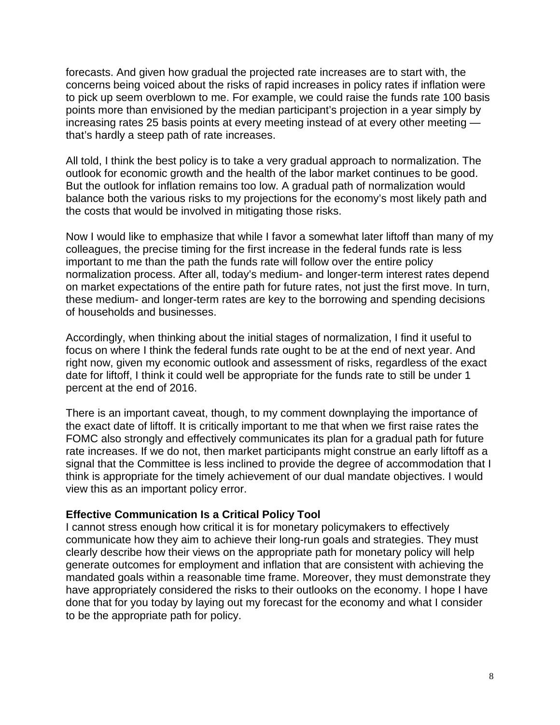forecasts. And given how gradual the projected rate increases are to start with, the concerns being voiced about the risks of rapid increases in policy rates if inflation were to pick up seem overblown to me. For example, we could raise the funds rate 100 basis points more than envisioned by the median participant's projection in a year simply by increasing rates 25 basis points at every meeting instead of at every other meeting that's hardly a steep path of rate increases.

All told, I think the best policy is to take a very gradual approach to normalization. The outlook for economic growth and the health of the labor market continues to be good. But the outlook for inflation remains too low. A gradual path of normalization would balance both the various risks to my projections for the economy's most likely path and the costs that would be involved in mitigating those risks.

Now I would like to emphasize that while I favor a somewhat later liftoff than many of my colleagues, the precise timing for the first increase in the federal funds rate is less important to me than the path the funds rate will follow over the entire policy normalization process. After all, today's medium- and longer-term interest rates depend on market expectations of the entire path for future rates, not just the first move. In turn, these medium- and longer-term rates are key to the borrowing and spending decisions of households and businesses.

Accordingly, when thinking about the initial stages of normalization, I find it useful to focus on where I think the federal funds rate ought to be at the end of next year. And right now, given my economic outlook and assessment of risks, regardless of the exact date for liftoff, I think it could well be appropriate for the funds rate to still be under 1 percent at the end of 2016.

There is an important caveat, though, to my comment downplaying the importance of the exact date of liftoff. It is critically important to me that when we first raise rates the FOMC also strongly and effectively communicates its plan for a gradual path for future rate increases. If we do not, then market participants might construe an early liftoff as a signal that the Committee is less inclined to provide the degree of accommodation that I think is appropriate for the timely achievement of our dual mandate objectives. I would view this as an important policy error.

#### **Effective Communication Is a Critical Policy Tool**

I cannot stress enough how critical it is for monetary policymakers to effectively communicate how they aim to achieve their long-run goals and strategies. They must clearly describe how their views on the appropriate path for monetary policy will help generate outcomes for employment and inflation that are consistent with achieving the mandated goals within a reasonable time frame. Moreover, they must demonstrate they have appropriately considered the risks to their outlooks on the economy. I hope I have done that for you today by laying out my forecast for the economy and what I consider to be the appropriate path for policy.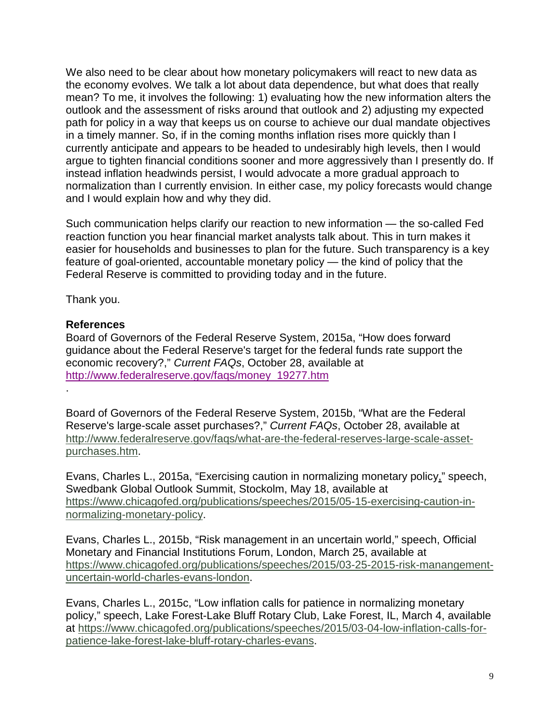We also need to be clear about how monetary policymakers will react to new data as the economy evolves. We talk a lot about data dependence, but what does that really mean? To me, it involves the following: 1) evaluating how the new information alters the outlook and the assessment of risks around that outlook and 2) adjusting my expected path for policy in a way that keeps us on course to achieve our dual mandate objectives in a timely manner. So, if in the coming months inflation rises more quickly than I currently anticipate and appears to be headed to undesirably high levels, then I would argue to tighten financial conditions sooner and more aggressively than I presently do. If instead inflation headwinds persist, I would advocate a more gradual approach to normalization than I currently envision. In either case, my policy forecasts would change and I would explain how and why they did.

Such communication helps clarify our reaction to new information — the so-called Fed reaction function you hear financial market analysts talk about. This in turn makes it easier for households and businesses to plan for the future. Such transparency is a key feature of goal-oriented, accountable monetary policy — the kind of policy that the Federal Reserve is committed to providing today and in the future.

Thank you.

### **References**

.

Board of Governors of the Federal Reserve System, 2015a, "How does forward guidance about the Federal Reserve's target for the federal funds rate support the economic recovery?," *Current FAQs*, October 28, available at [http://www.federalreserve.gov/faqs/money\\_19277.htm](http://www.federalreserve.gov/faqs/money_19277.htm)

Board of Governors of the Federal Reserve System, 2015b, "What are the Federal Reserve's large-scale asset purchases?," *Current FAQs*, October 28, available at [http://www.federalreserve.gov/faqs/what-are-the-federal-reserves-large-scale-asset](http://www.federalreserve.gov/faqs/what-are-the-federal-reserves-large-scale-asset-purchases.htm)[purchases.htm.](http://www.federalreserve.gov/faqs/what-are-the-federal-reserves-large-scale-asset-purchases.htm)

Evans, Charles L., 2015a, "Exercising caution in normalizing monetary policy," speech, Swedbank Global Outlook Summit, Stockolm, May 18, available at [https://www.chicagofed.org/publications/speeches/2015/05-15-exercising-caution-in](https://www.chicagofed.org/publications/speeches/2015/05-15-exercising-caution-in-normalizing-monetary-policy)[normalizing-monetary-policy.](https://www.chicagofed.org/publications/speeches/2015/05-15-exercising-caution-in-normalizing-monetary-policy)

Evans, Charles L., 2015b, "Risk management in an uncertain world," speech, Official Monetary and Financial Institutions Forum, London, March 25, available at [https://www.chicagofed.org/publications/speeches/2015/03-25-2015-risk-manangement](https://www.chicagofed.org/publications/speeches/2015/03-25-2015-risk-manangement-uncertain-world-charles-evans-london)[uncertain-world-charles-evans-london.](https://www.chicagofed.org/publications/speeches/2015/03-25-2015-risk-manangement-uncertain-world-charles-evans-london)

Evans, Charles L., 2015c, "Low inflation calls for patience in normalizing monetary policy," speech, Lake Forest-Lake Bluff Rotary Club, Lake Forest, IL, March 4, available at [https://www.chicagofed.org/publications/speeches/2015/03-04-low-inflation-calls-for](https://www.chicagofed.org/publications/speeches/2015/03-04-low-inflation-calls-for-patience-lake-forest-lake-bluff-rotary-charles-evans)[patience-lake-forest-lake-bluff-rotary-charles-evans.](https://www.chicagofed.org/publications/speeches/2015/03-04-low-inflation-calls-for-patience-lake-forest-lake-bluff-rotary-charles-evans)